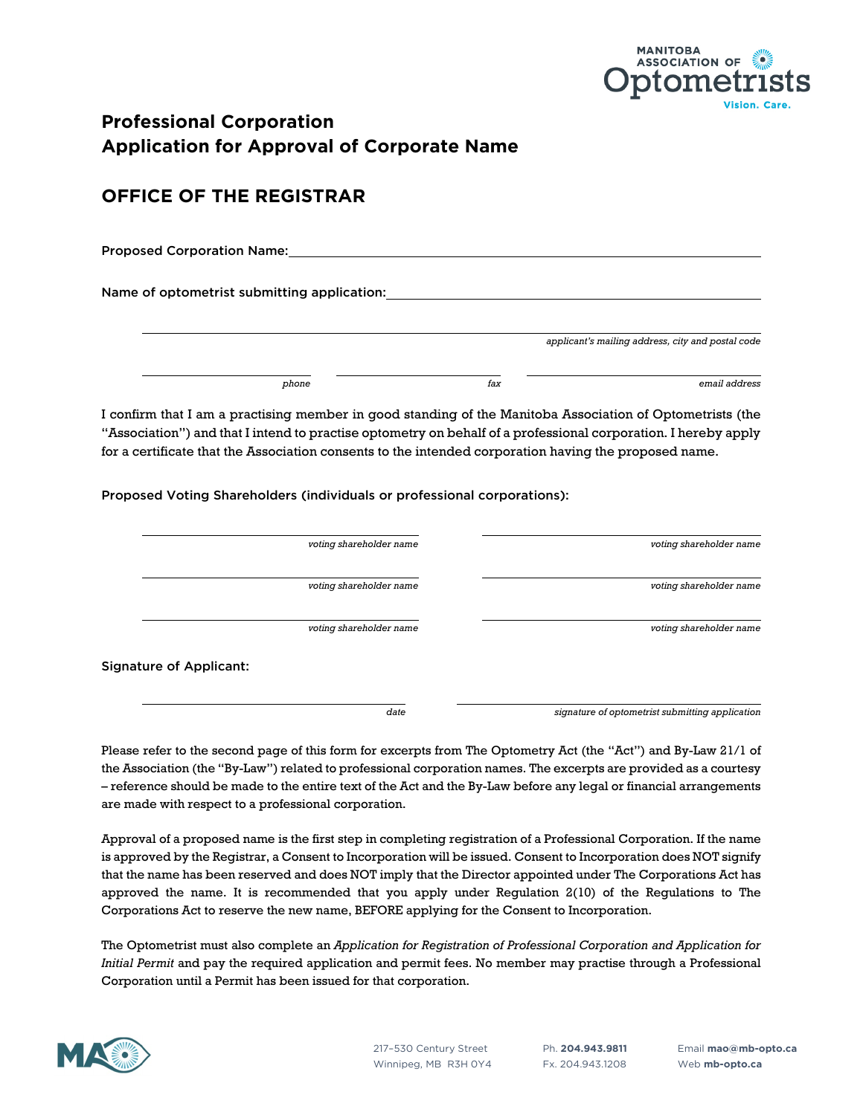

# **Professional Corporation Application for Approval of Corporate Name**

# **OFFICE OF THE REGISTRAR**

Proposed Corporation Name:

Name of optometrist submitting application:

| applicant's mailing address, city and postal code |     |       |
|---------------------------------------------------|-----|-------|
|                                                   |     |       |
| email address                                     | fax | phone |

I confirm that I am a practising member in good standing of the Manitoba Association of Optometrists (the "Association") and that I intend to practise optometry on behalf of a professional corporation. I hereby apply for a certificate that the Association consents to the intended corporation having the proposed name.

Proposed Voting Shareholders (individuals or professional corporations):

|                                | voting shareholder name | voting shareholder name |
|--------------------------------|-------------------------|-------------------------|
|                                | voting shareholder name | voting shareholder name |
|                                | voting shareholder name | voting shareholder name |
| <b>Signature of Applicant:</b> |                         |                         |

*date signature of optometrist submitting application*

Please refer to the second page of this form for excerpts from The Optometry Act (the "Act") and By-Law 21/1 of the Association (the "By-Law") related to professional corporation names. The excerpts are provided as a courtesy – reference should be made to the entire text of the Act and the By-Law before any legal or financial arrangements are made with respect to a professional corporation.

Approval of a proposed name is the first step in completing registration of a Professional Corporation. If the name is approved by the Registrar, a Consent to Incorporation will be issued. Consent to Incorporation does NOT signify that the name has been reserved and does NOT imply that the Director appointed under The Corporations Act has approved the name. It is recommended that you apply under Regulation 2(10) of the Regulations to The Corporations Act to reserve the new name, BEFORE applying for the Consent to Incorporation.

The Optometrist must also complete an *Application for Registration of Professional Corporation and Application for Initial Permit* and pay the required application and permit fees. No member may practise through a Professional Corporation until a Permit has been issued for that corporation.